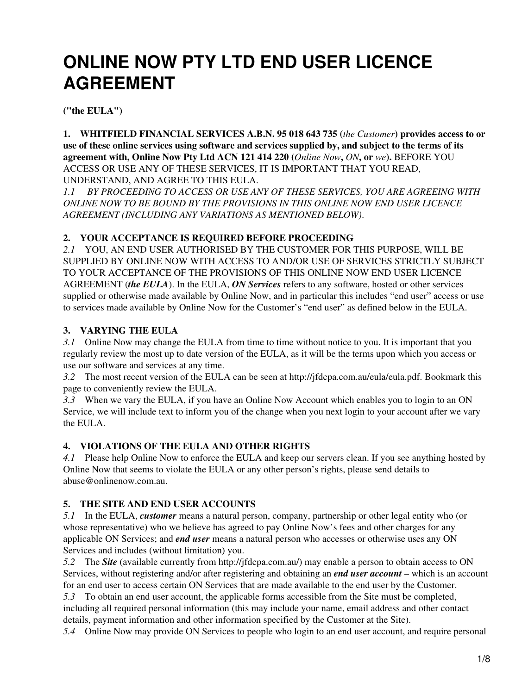# **ONLINE NOW PTY LTD END USER LICENCE AGREEMENT**

**("the EULA")**

**1. WHITFIELD FINANCIAL SERVICES A.B.N. 95 018 643 735 (***the Customer***) provides access to or use of these online services using software and services supplied by, and subject to the terms of its agreement with, Online Now Pty Ltd ACN 121 414 220 (***Online Now***,** *ON***, or** *we***).** BEFORE YOU ACCESS OR USE ANY OF THESE SERVICES, IT IS IMPORTANT THAT YOU READ, UNDERSTAND, AND AGREE TO THIS EULA.

*1.1 BY PROCEEDING TO ACCESS OR USE ANY OF THESE SERVICES, YOU ARE AGREEING WITH ONLINE NOW TO BE BOUND BY THE PROVISIONS IN THIS ONLINE NOW END USER LICENCE AGREEMENT (INCLUDING ANY VARIATIONS AS MENTIONED BELOW)*.

## **2. YOUR ACCEPTANCE IS REQUIRED BEFORE PROCEEDING**

*2.1* YOU, AN END USER AUTHORISED BY THE CUSTOMER FOR THIS PURPOSE, WILL BE SUPPLIED BY ONLINE NOW WITH ACCESS TO AND/OR USE OF SERVICES STRICTLY SUBJECT TO YOUR ACCEPTANCE OF THE PROVISIONS OF THIS ONLINE NOW END USER LICENCE AGREEMENT (*the EULA*). In the EULA, *ON Services* refers to any software, hosted or other services supplied or otherwise made available by Online Now, and in particular this includes "end user" access or use to services made available by Online Now for the Customer's "end user" as defined below in the EULA.

# **3. VARYING THE EULA**

*3.1* Online Now may change the EULA from time to time without notice to you. It is important that you regularly review the most up to date version of the EULA, as it will be the terms upon which you access or use our software and services at any time.

*3.2* The most recent version of the EULA can be seen at http://jfdcpa.com.au/eula/eula.pdf. Bookmark this page to conveniently review the EULA.

*3.3* When we vary the EULA, if you have an Online Now Account which enables you to login to an ON Service, we will include text to inform you of the change when you next login to your account after we vary the EULA.

# **4. VIOLATIONS OF THE EULA AND OTHER RIGHTS**

*4.1* Please help Online Now to enforce the EULA and keep our servers clean. If you see anything hosted by Online Now that seems to violate the EULA or any other person's rights, please send details to abuse@onlinenow.com.au.

# **5. THE SITE AND END USER ACCOUNTS**

*5.1* In the EULA, *customer* means a natural person, company, partnership or other legal entity who (or whose representative) who we believe has agreed to pay Online Now's fees and other charges for any applicable ON Services; and *end user* means a natural person who accesses or otherwise uses any ON Services and includes (without limitation) you.

*5.2* The *Site* (available currently from http://jfdcpa.com.au/) may enable a person to obtain access to ON Services, without registering and/or after registering and obtaining an *end user account* – which is an account for an end user to access certain ON Services that are made available to the end user by the Customer.

*5.3* To obtain an end user account, the applicable forms accessible from the Site must be completed, including all required personal information (this may include your name, email address and other contact details, payment information and other information specified by the Customer at the Site).

*5.4* Online Now may provide ON Services to people who login to an end user account, and require personal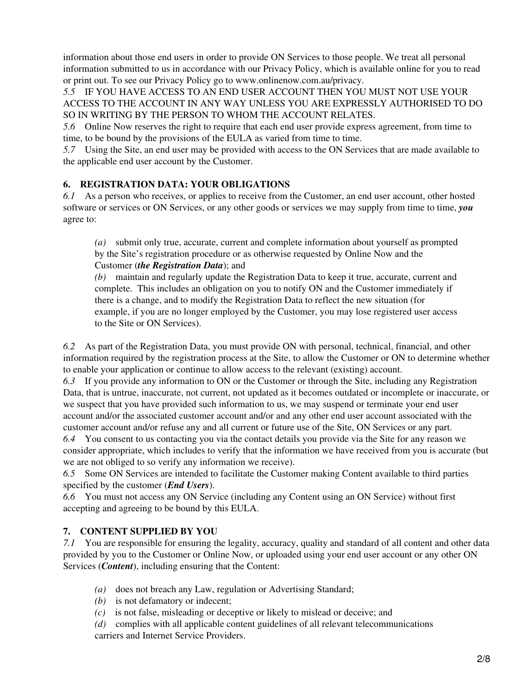information about those end users in order to provide ON Services to those people. We treat all personal information submitted to us in accordance with our Privacy Policy, which is available online for you to read or print out. To see our Privacy Policy go to www.onlinenow.com.au/privacy.

*5.5* IF YOU HAVE ACCESS TO AN END USER ACCOUNT THEN YOU MUST NOT USE YOUR ACCESS TO THE ACCOUNT IN ANY WAY UNLESS YOU ARE EXPRESSLY AUTHORISED TO DO SO IN WRITING BY THE PERSON TO WHOM THE ACCOUNT RELATES.

*5.6* Online Now reserves the right to require that each end user provide express agreement, from time to time, to be bound by the provisions of the EULA as varied from time to time.

*5.7* Using the Site, an end user may be provided with access to the ON Services that are made available to the applicable end user account by the Customer.

## **6. REGISTRATION DATA: YOUR OBLIGATIONS**

*6.1* As a person who receives, or applies to receive from the Customer, an end user account, other hosted software or services or ON Services, or any other goods or services we may supply from time to time, *you* agree to:

*(a)* submit only true, accurate, current and complete information about yourself as prompted by the Site's registration procedure or as otherwise requested by Online Now and the Customer (*the Registration Data*); and

*(b)* maintain and regularly update the Registration Data to keep it true, accurate, current and complete. This includes an obligation on you to notify ON and the Customer immediately if there is a change, and to modify the Registration Data to reflect the new situation (for example, if you are no longer employed by the Customer, you may lose registered user access to the Site or ON Services).

*6.2* As part of the Registration Data, you must provide ON with personal, technical, financial, and other information required by the registration process at the Site, to allow the Customer or ON to determine whether to enable your application or continue to allow access to the relevant (existing) account.

*6.3* If you provide any information to ON or the Customer or through the Site, including any Registration Data, that is untrue, inaccurate, not current, not updated as it becomes outdated or incomplete or inaccurate, or we suspect that you have provided such information to us, we may suspend or terminate your end user account and/or the associated customer account and/or and any other end user account associated with the customer account and/or refuse any and all current or future use of the Site, ON Services or any part.

*6.4* You consent to us contacting you via the contact details you provide via the Site for any reason we consider appropriate, which includes to verify that the information we have received from you is accurate (but we are not obliged to so verify any information we receive).

*6.5* Some ON Services are intended to facilitate the Customer making Content available to third parties specified by the customer (*End Users*).

*6.6* You must not access any ON Service (including any Content using an ON Service) without first accepting and agreeing to be bound by this EULA.

## **7. CONTENT SUPPLIED BY YOU**

*7.1* You are responsible for ensuring the legality, accuracy, quality and standard of all content and other data provided by you to the Customer or Online Now, or uploaded using your end user account or any other ON Services (*Content*), including ensuring that the Content:

- *(a)* does not breach any Law, regulation or Advertising Standard;
- *(b)* is not defamatory or indecent;
- *(c)* is not false, misleading or deceptive or likely to mislead or deceive; and

*(d)* complies with all applicable content guidelines of all relevant telecommunications carriers and Internet Service Providers.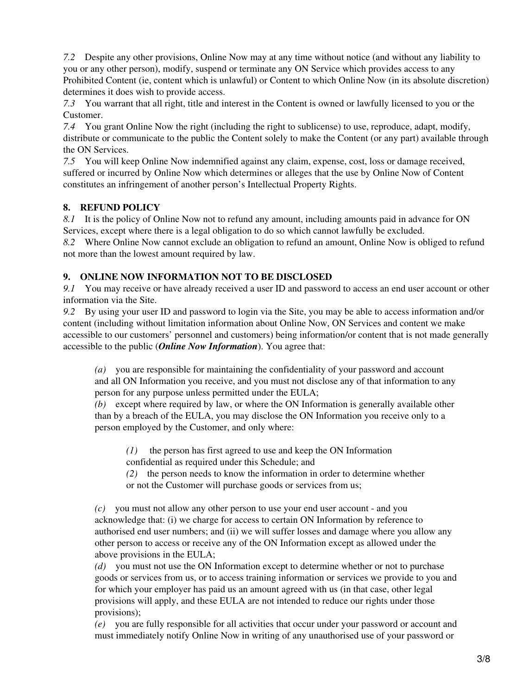*7.2* Despite any other provisions, Online Now may at any time without notice (and without any liability to you or any other person), modify, suspend or terminate any ON Service which provides access to any Prohibited Content (ie, content which is unlawful) or Content to which Online Now (in its absolute discretion) determines it does wish to provide access.

*7.3* You warrant that all right, title and interest in the Content is owned or lawfully licensed to you or the Customer.

*7.4* You grant Online Now the right (including the right to sublicense) to use, reproduce, adapt, modify, distribute or communicate to the public the Content solely to make the Content (or any part) available through the ON Services.

*7.5* You will keep Online Now indemnified against any claim, expense, cost, loss or damage received, suffered or incurred by Online Now which determines or alleges that the use by Online Now of Content constitutes an infringement of another person's Intellectual Property Rights.

## **8. REFUND POLICY**

*8.1* It is the policy of Online Now not to refund any amount, including amounts paid in advance for ON Services, except where there is a legal obligation to do so which cannot lawfully be excluded.

*8.2* Where Online Now cannot exclude an obligation to refund an amount, Online Now is obliged to refund not more than the lowest amount required by law.

## **9. ONLINE NOW INFORMATION NOT TO BE DISCLOSED**

*9.1* You may receive or have already received a user ID and password to access an end user account or other information via the Site.

*9.2* By using your user ID and password to login via the Site, you may be able to access information and/or content (including without limitation information about Online Now, ON Services and content we make accessible to our customers' personnel and customers) being information/or content that is not made generally accessible to the public (*Online Now Information*). You agree that:

*(a)* you are responsible for maintaining the confidentiality of your password and account and all ON Information you receive, and you must not disclose any of that information to any person for any purpose unless permitted under the EULA;

*(b)* except where required by law, or where the ON Information is generally available other than by a breach of the EULA, you may disclose the ON Information you receive only to a person employed by the Customer, and only where:

*(1)* the person has first agreed to use and keep the ON Information

confidential as required under this Schedule; and

*(2)* the person needs to know the information in order to determine whether or not the Customer will purchase goods or services from us;

*(c)* you must not allow any other person to use your end user account - and you acknowledge that: (i) we charge for access to certain ON Information by reference to authorised end user numbers; and (ii) we will suffer losses and damage where you allow any other person to access or receive any of the ON Information except as allowed under the above provisions in the EULA;

*(d)* you must not use the ON Information except to determine whether or not to purchase goods or services from us, or to access training information or services we provide to you and for which your employer has paid us an amount agreed with us (in that case, other legal provisions will apply, and these EULA are not intended to reduce our rights under those provisions);

*(e)* you are fully responsible for all activities that occur under your password or account and must immediately notify Online Now in writing of any unauthorised use of your password or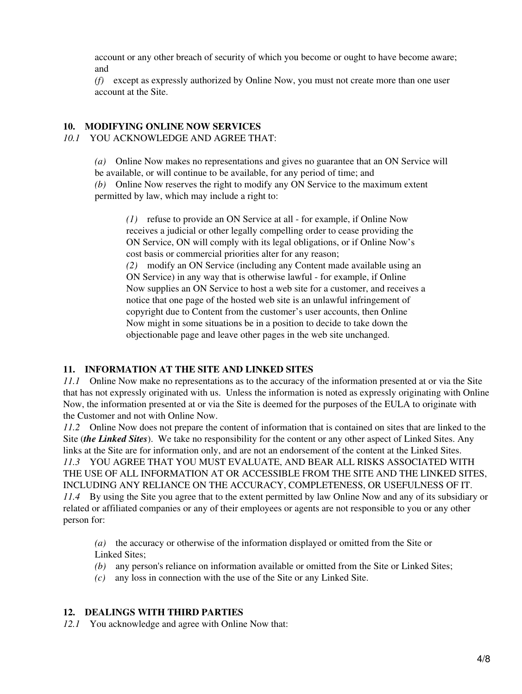account or any other breach of security of which you become or ought to have become aware; and

*(f)* except as expressly authorized by Online Now, you must not create more than one user account at the Site.

#### **10. MODIFYING ONLINE NOW SERVICES** *10.1* YOU ACKNOWLEDGE AND AGREE THAT:

*(a)* Online Now makes no representations and gives no guarantee that an ON Service will

be available, or will continue to be available, for any period of time; and

*(b)* Online Now reserves the right to modify any ON Service to the maximum extent permitted by law, which may include a right to:

*(1)* refuse to provide an ON Service at all - for example, if Online Now receives a judicial or other legally compelling order to cease providing the ON Service, ON will comply with its legal obligations, or if Online Now's cost basis or commercial priorities alter for any reason;

*(2)* modify an ON Service (including any Content made available using an ON Service) in any way that is otherwise lawful - for example, if Online Now supplies an ON Service to host a web site for a customer, and receives a notice that one page of the hosted web site is an unlawful infringement of copyright due to Content from the customer's user accounts, then Online Now might in some situations be in a position to decide to take down the objectionable page and leave other pages in the web site unchanged.

#### **11. INFORMATION AT THE SITE AND LINKED SITES**

*11.1* Online Now make no representations as to the accuracy of the information presented at or via the Site that has not expressly originated with us. Unless the information is noted as expressly originating with Online Now, the information presented at or via the Site is deemed for the purposes of the EULA to originate with the Customer and not with Online Now.

*11.2* Online Now does not prepare the content of information that is contained on sites that are linked to the Site (*the Linked Sites*). We take no responsibility for the content or any other aspect of Linked Sites. Any links at the Site are for information only, and are not an endorsement of the content at the Linked Sites. *11.3* YOU AGREE THAT YOU MUST EVALUATE, AND BEAR ALL RISKS ASSOCIATED WITH THE USE OF ALL INFORMATION AT OR ACCESSIBLE FROM THE SITE AND THE LINKED SITES, INCLUDING ANY RELIANCE ON THE ACCURACY, COMPLETENESS, OR USEFULNESS OF IT. *11.4* By using the Site you agree that to the extent permitted by law Online Now and any of its subsidiary or related or affiliated companies or any of their employees or agents are not responsible to you or any other person for:

*(a)* the accuracy or otherwise of the information displayed or omitted from the Site or Linked Sites;

- *(b)* any person's reliance on information available or omitted from the Site or Linked Sites;
- *(c)* any loss in connection with the use of the Site or any Linked Site.

## **12. DEALINGS WITH THIRD PARTIES**

*12.1* You acknowledge and agree with Online Now that: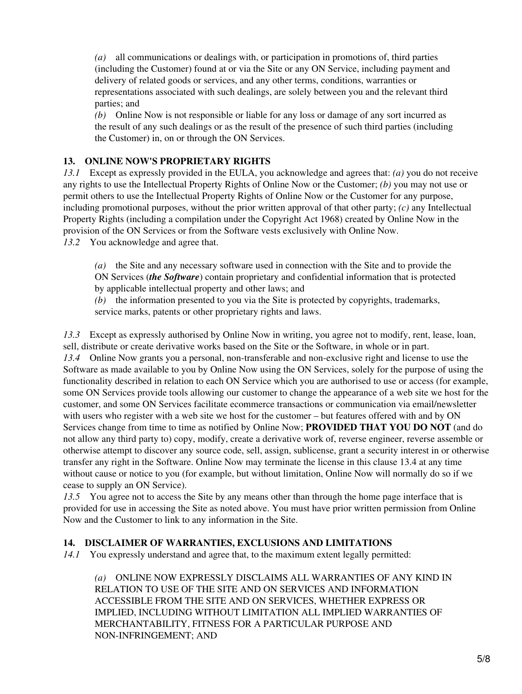*(a)* all communications or dealings with, or participation in promotions of, third parties (including the Customer) found at or via the Site or any ON Service, including payment and delivery of related goods or services, and any other terms, conditions, warranties or representations associated with such dealings, are solely between you and the relevant third parties; and

*(b)* Online Now is not responsible or liable for any loss or damage of any sort incurred as the result of any such dealings or as the result of the presence of such third parties (including the Customer) in, on or through the ON Services.

## **13. ONLINE NOW'S PROPRIETARY RIGHTS**

*13.1* Except as expressly provided in the EULA, you acknowledge and agrees that: *(a)* you do not receive any rights to use the Intellectual Property Rights of Online Now or the Customer; *(b)* you may not use or permit others to use the Intellectual Property Rights of Online Now or the Customer for any purpose, including promotional purposes, without the prior written approval of that other party; *(c)* any Intellectual Property Rights (including a compilation under the Copyright Act 1968) created by Online Now in the provision of the ON Services or from the Software vests exclusively with Online Now.

*13.2* You acknowledge and agree that.

*(a)* the Site and any necessary software used in connection with the Site and to provide the ON Services (*the Software*) contain proprietary and confidential information that is protected by applicable intellectual property and other laws; and

*(b)* the information presented to you via the Site is protected by copyrights, trademarks, service marks, patents or other proprietary rights and laws.

*13.3* Except as expressly authorised by Online Now in writing, you agree not to modify, rent, lease, loan, sell, distribute or create derivative works based on the Site or the Software, in whole or in part. *13.4* Online Now grants you a personal, non-transferable and non-exclusive right and license to use the Software as made available to you by Online Now using the ON Services, solely for the purpose of using the functionality described in relation to each ON Service which you are authorised to use or access (for example, some ON Services provide tools allowing our customer to change the appearance of a web site we host for the customer, and some ON Services facilitate ecommerce transactions or communication via email/newsletter with users who register with a web site we host for the customer – but features offered with and by ON Services change from time to time as notified by Online Now; **PROVIDED THAT YOU DO NOT** (and do not allow any third party to) copy, modify, create a derivative work of, reverse engineer, reverse assemble or otherwise attempt to discover any source code, sell, assign, sublicense, grant a security interest in or otherwise transfer any right in the Software. Online Now may terminate the license in this clause 13.4 at any time without cause or notice to you (for example, but without limitation, Online Now will normally do so if we cease to supply an ON Service).

*13.5* You agree not to access the Site by any means other than through the home page interface that is provided for use in accessing the Site as noted above. You must have prior written permission from Online Now and the Customer to link to any information in the Site.

## **14. DISCLAIMER OF WARRANTIES, EXCLUSIONS AND LIMITATIONS**

*14.1* You expressly understand and agree that, to the maximum extent legally permitted:

*(a)* ONLINE NOW EXPRESSLY DISCLAIMS ALL WARRANTIES OF ANY KIND IN RELATION TO USE OF THE SITE AND ON SERVICES AND INFORMATION ACCESSIBLE FROM THE SITE AND ON SERVICES, WHETHER EXPRESS OR IMPLIED, INCLUDING WITHOUT LIMITATION ALL IMPLIED WARRANTIES OF MERCHANTABILITY, FITNESS FOR A PARTICULAR PURPOSE AND NON-INFRINGEMENT; AND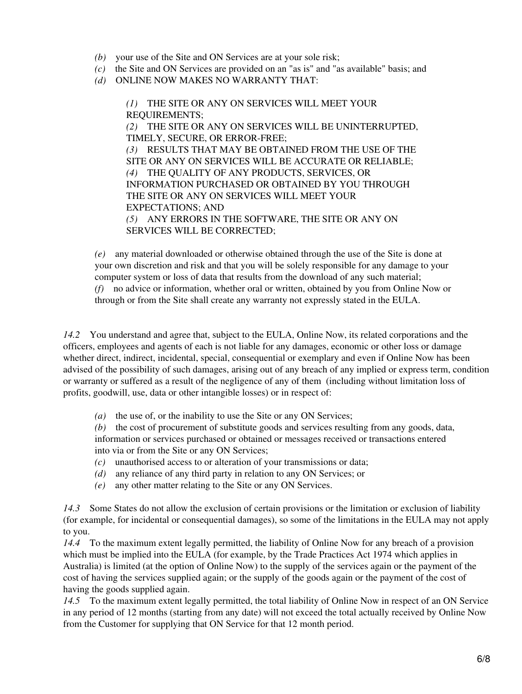- *(b)* your use of the Site and ON Services are at your sole risk;
- *(c)* the Site and ON Services are provided on an "as is" and "as available" basis; and
- *(d)* ONLINE NOW MAKES NO WARRANTY THAT:

*(1)* THE SITE OR ANY ON SERVICES WILL MEET YOUR REQUIREMENTS; *(2)* THE SITE OR ANY ON SERVICES WILL BE UNINTERRUPTED, TIMELY, SECURE, OR ERROR-FREE; *(3)* RESULTS THAT MAY BE OBTAINED FROM THE USE OF THE SITE OR ANY ON SERVICES WILL BE ACCURATE OR RELIABLE; *(4)* THE QUALITY OF ANY PRODUCTS, SERVICES, OR INFORMATION PURCHASED OR OBTAINED BY YOU THROUGH THE SITE OR ANY ON SERVICES WILL MEET YOUR EXPECTATIONS; AND *(5)* ANY ERRORS IN THE SOFTWARE, THE SITE OR ANY ON SERVICES WILL BE CORRECTED;

*(e)* any material downloaded or otherwise obtained through the use of the Site is done at your own discretion and risk and that you will be solely responsible for any damage to your computer system or loss of data that results from the download of any such material; *(f)* no advice or information, whether oral or written, obtained by you from Online Now or through or from the Site shall create any warranty not expressly stated in the EULA.

*14.2* You understand and agree that, subject to the EULA, Online Now, its related corporations and the officers, employees and agents of each is not liable for any damages, economic or other loss or damage whether direct, indirect, incidental, special, consequential or exemplary and even if Online Now has been advised of the possibility of such damages, arising out of any breach of any implied or express term, condition or warranty or suffered as a result of the negligence of any of them (including without limitation loss of profits, goodwill, use, data or other intangible losses) or in respect of:

*(a)* the use of, or the inability to use the Site or any ON Services;

*(b)* the cost of procurement of substitute goods and services resulting from any goods, data, information or services purchased or obtained or messages received or transactions entered into via or from the Site or any ON Services;

- *(c)* unauthorised access to or alteration of your transmissions or data;
- *(d)* any reliance of any third party in relation to any ON Services; or
- *(e)* any other matter relating to the Site or any ON Services.

*14.3* Some States do not allow the exclusion of certain provisions or the limitation or exclusion of liability (for example, for incidental or consequential damages), so some of the limitations in the EULA may not apply to you.

*14.4* To the maximum extent legally permitted, the liability of Online Now for any breach of a provision which must be implied into the EULA (for example, by the Trade Practices Act 1974 which applies in Australia) is limited (at the option of Online Now) to the supply of the services again or the payment of the cost of having the services supplied again; or the supply of the goods again or the payment of the cost of having the goods supplied again.

*14.5* To the maximum extent legally permitted, the total liability of Online Now in respect of an ON Service in any period of 12 months (starting from any date) will not exceed the total actually received by Online Now from the Customer for supplying that ON Service for that 12 month period.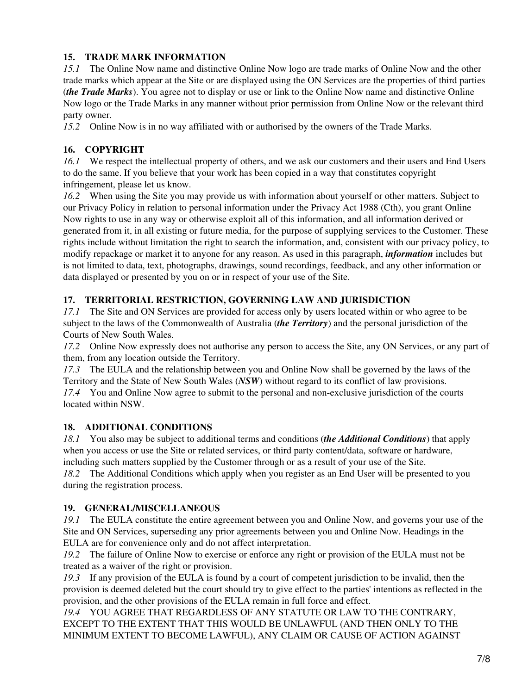# **15. TRADE MARK INFORMATION**

*15.1* The Online Now name and distinctive Online Now logo are trade marks of Online Now and the other trade marks which appear at the Site or are displayed using the ON Services are the properties of third parties (*the Trade Marks*). You agree not to display or use or link to the Online Now name and distinctive Online Now logo or the Trade Marks in any manner without prior permission from Online Now or the relevant third party owner.

*15.2* Online Now is in no way affiliated with or authorised by the owners of the Trade Marks.

# **16. COPYRIGHT**

*16.1* We respect the intellectual property of others, and we ask our customers and their users and End Users to do the same. If you believe that your work has been copied in a way that constitutes copyright infringement, please let us know.

*16.2* When using the Site you may provide us with information about yourself or other matters. Subject to our Privacy Policy in relation to personal information under the Privacy Act 1988 (Cth), you grant Online Now rights to use in any way or otherwise exploit all of this information, and all information derived or generated from it, in all existing or future media, for the purpose of supplying services to the Customer. These rights include without limitation the right to search the information, and, consistent with our privacy policy, to modify repackage or market it to anyone for any reason. As used in this paragraph, *information* includes but is not limited to data, text, photographs, drawings, sound recordings, feedback, and any other information or data displayed or presented by you on or in respect of your use of the Site.

# **17. TERRITORIAL RESTRICTION, GOVERNING LAW AND JURISDICTION**

*17.1* The Site and ON Services are provided for access only by users located within or who agree to be subject to the laws of the Commonwealth of Australia (*the Territory*) and the personal jurisdiction of the Courts of New South Wales.

*17.2* Online Now expressly does not authorise any person to access the Site, any ON Services, or any part of them, from any location outside the Territory.

*17.3* The EULA and the relationship between you and Online Now shall be governed by the laws of the Territory and the State of New South Wales (*NSW*) without regard to its conflict of law provisions. *17.4* You and Online Now agree to submit to the personal and non-exclusive jurisdiction of the courts located within NSW.

# **18. ADDITIONAL CONDITIONS**

*18.1* You also may be subject to additional terms and conditions (*the Additional Conditions*) that apply when you access or use the Site or related services, or third party content/data, software or hardware, including such matters supplied by the Customer through or as a result of your use of the Site.

*18.2* The Additional Conditions which apply when you register as an End User will be presented to you during the registration process.

# **19. GENERAL/MISCELLANEOUS**

*19.1* The EULA constitute the entire agreement between you and Online Now, and governs your use of the Site and ON Services, superseding any prior agreements between you and Online Now. Headings in the EULA are for convenience only and do not affect interpretation.

*19.2* The failure of Online Now to exercise or enforce any right or provision of the EULA must not be treated as a waiver of the right or provision.

*19.3* If any provision of the EULA is found by a court of competent jurisdiction to be invalid, then the provision is deemed deleted but the court should try to give effect to the parties' intentions as reflected in the provision, and the other provisions of the EULA remain in full force and effect.

*19.4* YOU AGREE THAT REGARDLESS OF ANY STATUTE OR LAW TO THE CONTRARY, EXCEPT TO THE EXTENT THAT THIS WOULD BE UNLAWFUL (AND THEN ONLY TO THE MINIMUM EXTENT TO BECOME LAWFUL), ANY CLAIM OR CAUSE OF ACTION AGAINST